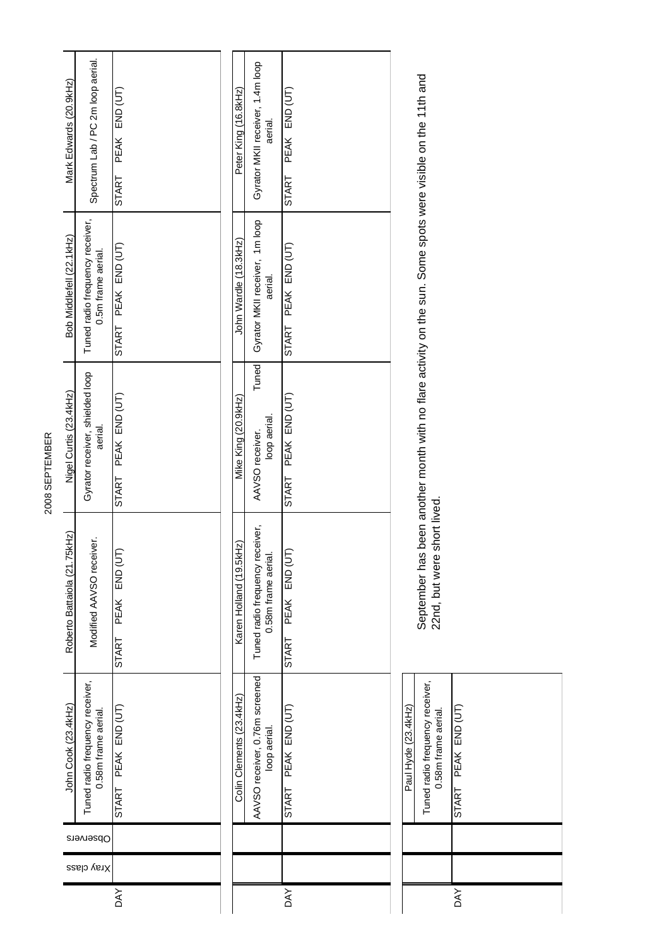| 2008 SEPTEMBER | Mark Edwards (20.9kHz)            | Spectrum Lab / PC 2m loop aerial.                      | END (UT)<br><b>PEAK</b><br><b>START</b> | Peter King (16.8kHz)     | Gyrator MKII receiver, 1.4m loop<br>aerial.            | END (UT)<br>PEAK<br><b>START</b> |                     |                                                                                               |                     |
|----------------|-----------------------------------|--------------------------------------------------------|-----------------------------------------|--------------------------|--------------------------------------------------------|----------------------------------|---------------------|-----------------------------------------------------------------------------------------------|---------------------|
|                | Bob Middlefell (22.1kHz)          | Tuned radio frequency receiver,<br>0.5m frame aerial.  | PEAK END (UT)<br><b>START</b>           | John Wardle (18.3kHz)    | Gyrator MKII receiver, 1m loop<br>aerial.              | PEAK END (UT)<br><b>START</b>    |                     |                                                                                               |                     |
|                | Nigel Curtis (23.4kHz)            | Gyrator receiver, shielded loop<br>aerial.             | PEAK END (UT)<br><b>START</b>           | Mike King (20.9kHz)      | Tuned<br>loop aerial.<br>AAVSO receiver.               | PEAK END (UT)<br>START           |                     | been another month with no flare activity on the sun. Some spots were visible on the 11th and |                     |
|                | ikHz)<br>Roberto Battaiola (21.75 | Modified AAVSO receiver.                               | END (UT<br><b>PEAK</b><br><b>START</b>  | Karen Holland (19.5kHz)  | Tuned radio frequency receiver,<br>0.58m frame aerial. | PEAK END (UT<br><b>START</b>     |                     | short lived.<br>September has<br>22nd, but were                                               |                     |
|                | John Cook (23.4kHz)               | Tuned radio frequency receiver,<br>0.58m frame aerial. | START PEAK END (UT)                     | Colin Clements (23.4kHz) | AAVSO receiver, 0.76m screened<br>loop aerial.         | PEAK END (UT)<br>START           | Paul Hyde (23.4kHz) | Tuned radio frequency receiver,<br>0.58m frame aerial.                                        | START PEAK END (UT) |
|                | Observers                         |                                                        |                                         |                          |                                                        |                                  |                     |                                                                                               |                     |
|                | Xray class                        |                                                        |                                         |                          |                                                        |                                  |                     |                                                                                               |                     |
|                |                                   |                                                        | <b>AYO</b>                              |                          |                                                        | <b>AVO</b>                       |                     |                                                                                               | <b>AY</b>           |

2008 SEPTEMBER